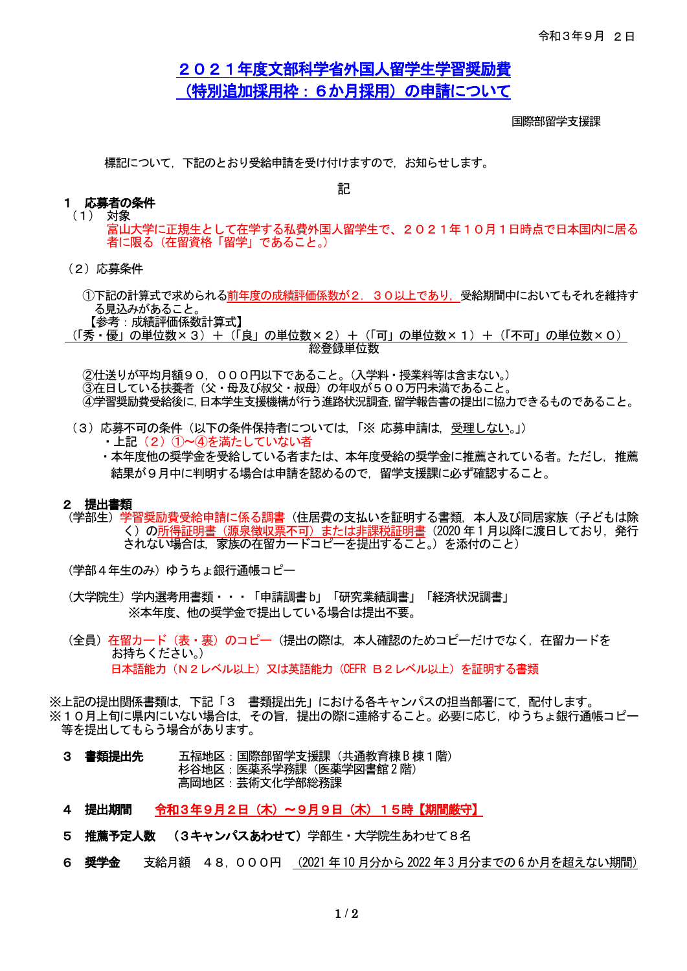# 2021年度文部科学省外国人留学生学習奨励費 (特別追加採用枠:6か月採用)の申請について

国際部留学支援課

標記について,下記のとおり受給申請を受け付けますので,お知らせします。

記

#### 1 応募者の条件 (1) 対象

- 富山大学に正規生として在学する私費外国人留学生で、2021年10月1日時点で日本国内に居る 者に限る(在留資格「留学」であること。)
- (2)応募条件
	- ①下記の計算式で求められる前年度の成績評価係数が2.30以上であり,受給期間中においてもそれを維持す る見込みがあること。
- 【参考:成績評価係数計算式】 (「秀・優」の単位数×3)+(「良」の単位数×2)+(「可」の単位数×1)+(「不可」の単位数×0) 総登録単位数

②仕送りが平均月額90,000円以下であること。(入学料・授業料等は含まない。) ◎ニー・…<br>③在日している扶養者(父・母及び叔父・叔母)の年収が500万円未満であること。 ④学習奨励費受給後に,日本学生支援機構が行う進路状況調査,留学報告書の提出に協力できるものであること。

- (3)応募不可の条件(以下の条件保持者については,「※ 応募申請は,受理しない。」)
	- ・上記(2)①~④を満たしていない者

・本年度他の奨学金を受給している者または、本年度受給の奨学金に推薦されている者。ただし,推薦 結果が9月中に判明する場合は申請を認めるので,留学支援課に必ず確認すること。

#### 2 提出書類

(学部生)学習奨励費受給申請に係る調書(住居費の支払いを証明する書類,本人及び同居家族(子どもは除 く)の所得証明書(源泉徴収票不可)または非課税証明書(2020年1月以降に渡日しており,発行 されない場合は,家族の在留カードコピーを提出すること。)を添付のこと)

(学部4年生のみ)ゆうちょ銀行通帳コピー

- (大学院生)学内選考用書類・・・「申請調書b」「研究業績調書」「経済状況調書」 ※本年度、他の奨学金で提出している場合は提出不要。
- (全員)在留カード(表・裏)のコピー(提出の際は、本人確認のためコピーだけでなく、在留カードを お持ちください。) 日本語能力(N2レベル以上)又は英語能力(CEFR B2レベル以上)を証明する書類

※上記の提出関係書類は,下記「3 書類提出先」における各キャンパスの担当部署にて,配付します。 ※10月上旬に県内にいない場合は,その旨,提出の際に連絡すること。必要に応じ,ゆうちょ銀行通帳コピー 等を提出してもらう場合があります。

- 3 書類提出先 五福地区:国際部留学支援課 (共通教育棟 B 棟 1 階) 杉谷地区:医薬系学務課(医薬学図書館2 階) 高岡地区:芸術文化学部総務課
- 4 提出期間 令和3年9月2日(木)~9月9日(木)15時【期間厳守】
- 5 推薦予定人数 (3キャンパスあわせて)学部生・大学院生あわせて8名
- 6 奨学金 支給月額 48,000円 (2021 年10 月分から2022 年3 月分までの6 か月を超えない期間)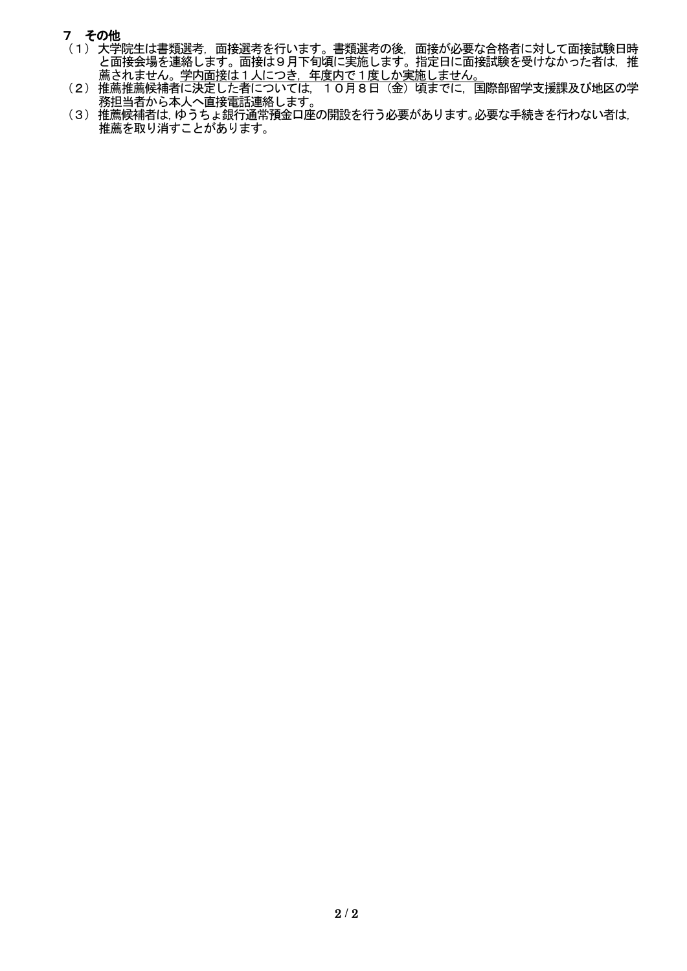# 7 その他

- (1)大学院生は書類選考,面接選考を行います。書類選考の後,面接が必要な合格者に対して面接試験日時 と面接会場を連絡します。面接は9月下旬頃に実施します。指定日に面接試験を受けなかった者は,推 こ面投会物と是記します。<br><u>薦されません。学内面接は1人につき,年度内で1度しか実施しません。</u>
- (2)推薦推薦候補者に決定した者については,10月8日(金)頃までに,国際部留学支援課及び地区の学 務担当者から本人へ直接電話連絡します。
- (3)推薦候補者は,ゆうちょ銀行通常預金口座の開設を行う必要があります。必要な手続きを行わない者は, 推薦を取り消すことがあります。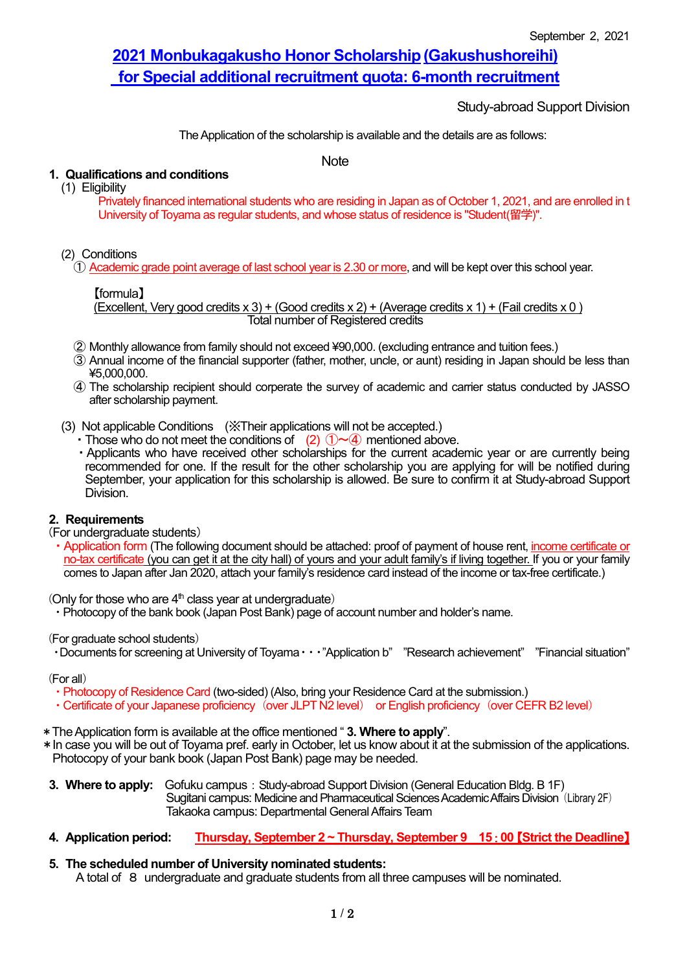# **2021 Monbukagakusho Honor Scholarship(Gakushushoreihi) for Special additional recruitment quota: 6-month recruitment**

Study-abroad Support Division

The Application of the scholarship is available and the details are as follows:

**Note** 

# **1. Qualifications and conditions**

(1) Eligibility

Privately financed international students who are residing in Japan as of October 1, 2021, and are enrolled in t University of Toyama as regular students, and whose status of residence is "Student(留学)".

### (2) Conditions

① Academic grade point average of last school year is 2.30 or more, and will be kept over this school year.

### 【formula】

(Excellent, Very good credits  $x 3$ ) + (Good credits  $x 2$ ) + (Average credits  $x 1$ ) + (Fail credits  $x 0$ ) Total number of Registered credits

- ② Monthly allowance from family should not exceed ¥90,000. (excluding entrance and tuition fees.)
- ③ Annual income of the financial supporter (father, mother, uncle, or aunt) residing in Japan should be less than ¥5,000,000.
- ④ The scholarship recipient should corperate the survey of academic and carrier status conducted by JASSO after scholarship payment.
- (3) Not applicable Conditions (※Their applications will not be accepted.)
	- Those who do not meet the conditions of (2)  $(1) \sim (4)$  mentioned above.
	- ・Applicants who have received other scholarships for the current academic year or are currently being recommended for one. If the result for the other scholarship you are applying for will be notified during September, your application for this scholarship is allowed. Be sure to confirm it at Study-abroad Support Division.

### **2. Requirements**

(For undergraduate students)

・Application form (The following document should be attached: proof of payment of house rent, income certificate or no-tax certificate (you can get it at the city hall) of yours and your adult family's if living together. If you or your family comes to Japan after Jan 2020, attach your family's residence card instead of the income or tax-free certificate.)

(Only for those who are  $4<sup>th</sup>$  class year at undergraduate)

・Photocopy of the bank book (Japan Post Bank) page of account number and holder's name.

(For graduate school students)

・Documents for screening at University of Toyama・・・"Application b" "Research achievement" "Financial situation"

#### (For all)

- ・Photocopy of Residence Card (two-sided) (Also, bring your Residence Card at the submission.)
- Certificate of your Japanese proficiency (over JLPT N2 level) or English proficiency (over CEFR B2 level)
- \*TheApplication form is available at the office mentioned " **3. Where to apply**".
- \*In case you will be out of Toyama pref. early in October, let us know about it at the submission of the applications. Photocopy of your bank book (Japan Post Bank) page may be needed.

**3. Where to apply:** Gofuku campus: Study-abroad Support Division (General Education Bldg. B 1F) Sugitani campus: Medicine and Pharmaceutical Sciences Academic Affairs Division (Library 2F) Takaoka campus: Departmental General Affairs Team

- **4. Application period: Thursday, September 2 ~ Thursday, September 9 15**:**00**【**Strict the Deadline**】
- **5. The scheduled number of University nominated students:**

A total of 8 undergraduate and graduate students from all three campuses will be nominated.